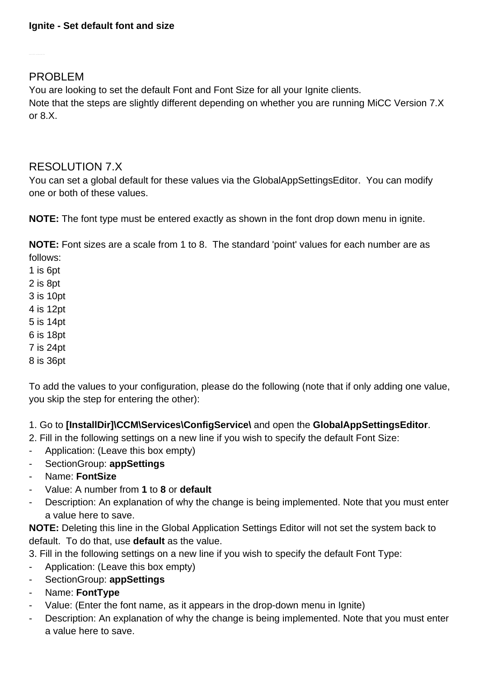PROBLEM

You are looking to set the default Font and Font Size for all your Ignite clients. Note that the steps are slightly different depending on whether you are running MiCC Version 7.X or 8.X.

## RESOLUTION 7.X

You can set a global default for these values via the GlobalAppSettingsEditor. You can modify one or both of these values.

**NOTE:** The font type must be entered exactly as shown in the font drop down menu in ignite.

**NOTE:** Font sizes are a scale from 1 to 8. The standard 'point' values for each number are as follows:

1 is 6pt

2 is 8pt

3 is 10pt

4 is 12pt

5 is 14pt

6 is 18pt

7 is 24pt

8 is 36pt

To add the values to your configuration, please do the following (note that if only adding one value, you skip the step for entering the other):

### 1. Go to **[InstallDir]\CCM\Services\ConfigService\** and open the **GlobalAppSettingsEditor**.

2. Fill in the following settings on a new line if you wish to specify the default Font Size:

- Application: (Leave this box empty)
- SectionGroup: **appSettings**
- Name: **FontSize**
- Value: A number from **1** to **8** or **default**
- Description: An explanation of why the change is being implemented. Note that you must enter a value here to save.

**NOTE:** Deleting this line in the Global Application Settings Editor will not set the system back to default. To do that, use **default** as the value.

3. Fill in the following settings on a new line if you wish to specify the default Font Type:

- Application: (Leave this box empty)
- SectionGroup: **appSettings**
- Name: **FontType**
- Value: (Enter the font name, as it appears in the drop-down menu in Ignite)
- Description: An explanation of why the change is being implemented. Note that you must enter a value here to save.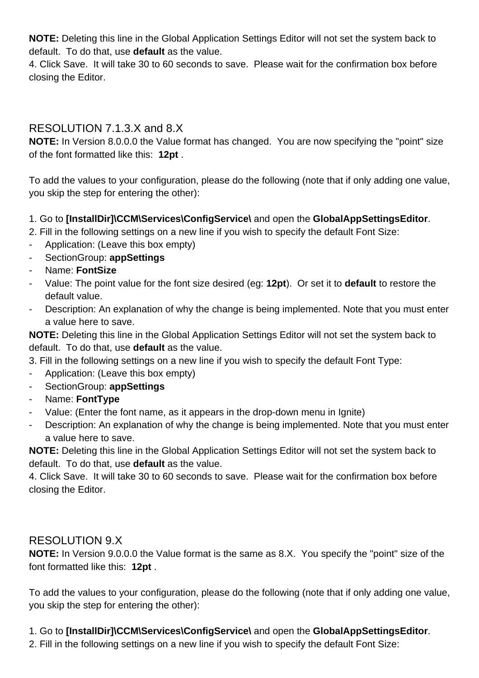**NOTE:** Deleting this line in the Global Application Settings Editor will not set the system back to default. To do that, use **default** as the value.

4. Click Save. It will take 30 to 60 seconds to save. Please wait for the confirmation box before closing the Editor.

# RESOLUTION 7.1.3.X and 8.X

**NOTE:** In Version 8.0.0.0 the Value format has changed. You are now specifying the "point" size of the font formatted like this: **12pt** .

To add the values to your configuration, please do the following (note that if only adding one value, you skip the step for entering the other):

### 1. Go to **[InstallDir]\CCM\Services\ConfigService\** and open the **GlobalAppSettingsEditor**.

2. Fill in the following settings on a new line if you wish to specify the default Font Size:

- Application: (Leave this box empty)
- SectionGroup: **appSettings**
- Name: **FontSize**
- Value: The point value for the font size desired (eg: **12pt**). Or set it to **default** to restore the default value.
- Description: An explanation of why the change is being implemented. Note that you must enter a value here to save.

**NOTE:** Deleting this line in the Global Application Settings Editor will not set the system back to default. To do that, use **default** as the value.

3. Fill in the following settings on a new line if you wish to specify the default Font Type:

- Application: (Leave this box empty)
- SectionGroup: **appSettings**
- Name: **FontType**
- Value: (Enter the font name, as it appears in the drop-down menu in Ignite)
- Description: An explanation of why the change is being implemented. Note that you must enter a value here to save.

**NOTE:** Deleting this line in the Global Application Settings Editor will not set the system back to default. To do that, use **default** as the value.

4. Click Save. It will take 30 to 60 seconds to save. Please wait for the confirmation box before closing the Editor.

### RESOLUTION 9.X

**NOTE:** In Version 9.0.0.0 the Value format is the same as 8.X. You specify the "point" size of the font formatted like this: **12pt** .

To add the values to your configuration, please do the following (note that if only adding one value, you skip the step for entering the other):

### 1. Go to **[InstallDir]\CCM\Services\ConfigService\** and open the **GlobalAppSettingsEditor**.

2. Fill in the following settings on a new line if you wish to specify the default Font Size: